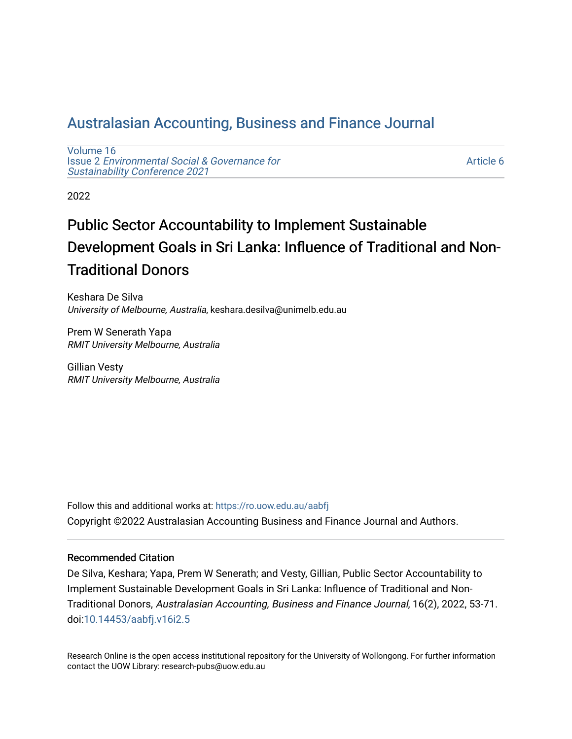# [Australasian Accounting, Business and Finance Journal](https://ro.uow.edu.au/aabfj)

[Volume 16](https://ro.uow.edu.au/aabfj/vol16) Issue 2 [Environmental Social & Governance for](https://ro.uow.edu.au/aabfj/vol16/iss2)  [Sustainability Conference 2021](https://ro.uow.edu.au/aabfj/vol16/iss2) 

[Article 6](https://ro.uow.edu.au/aabfj/vol16/iss2/6) 

2022

# Public Sector Accountability to Implement Sustainable Development Goals in Sri Lanka: Influence of Traditional and Non-Traditional Donors

Keshara De Silva University of Melbourne, Australia, keshara.desilva@unimelb.edu.au

Prem W Senerath Yapa RMIT University Melbourne, Australia

Gillian Vesty RMIT University Melbourne, Australia

Follow this and additional works at: [https://ro.uow.edu.au/aabfj](https://ro.uow.edu.au/aabfj?utm_source=ro.uow.edu.au%2Faabfj%2Fvol16%2Fiss2%2F6&utm_medium=PDF&utm_campaign=PDFCoverPages) Copyright ©2022 Australasian Accounting Business and Finance Journal and Authors.

#### Recommended Citation

De Silva, Keshara; Yapa, Prem W Senerath; and Vesty, Gillian, Public Sector Accountability to Implement Sustainable Development Goals in Sri Lanka: Influence of Traditional and Non-Traditional Donors, Australasian Accounting, Business and Finance Journal, 16(2), 2022, 53-71. doi:[10.14453/aabfj.v16i2.5](http://dx.doi.org/10.14453/aabfj.v16i2.5) 

Research Online is the open access institutional repository for the University of Wollongong. For further information contact the UOW Library: research-pubs@uow.edu.au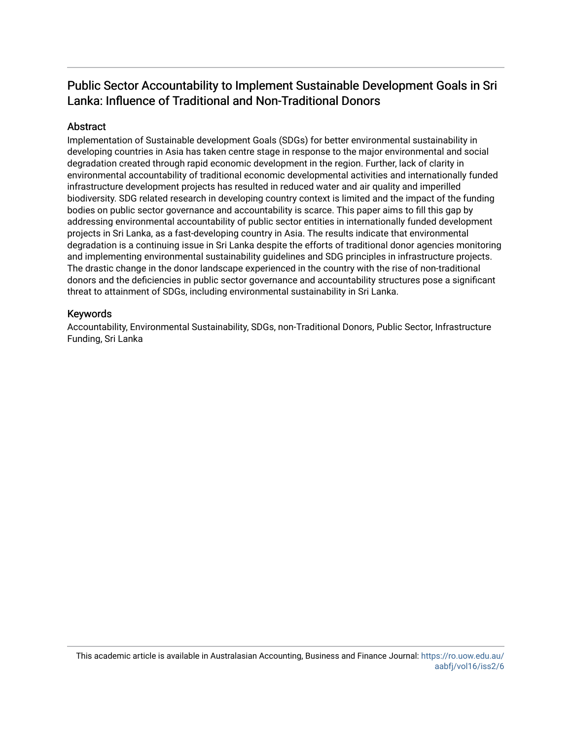# Public Sector Accountability to Implement Sustainable Development Goals in Sri Lanka: Influence of Traditional and Non-Traditional Donors

## **Abstract**

Implementation of Sustainable development Goals (SDGs) for better environmental sustainability in developing countries in Asia has taken centre stage in response to the major environmental and social degradation created through rapid economic development in the region. Further, lack of clarity in environmental accountability of traditional economic developmental activities and internationally funded infrastructure development projects has resulted in reduced water and air quality and imperilled biodiversity. SDG related research in developing country context is limited and the impact of the funding bodies on public sector governance and accountability is scarce. This paper aims to fill this gap by addressing environmental accountability of public sector entities in internationally funded development projects in Sri Lanka, as a fast-developing country in Asia. The results indicate that environmental degradation is a continuing issue in Sri Lanka despite the efforts of traditional donor agencies monitoring and implementing environmental sustainability guidelines and SDG principles in infrastructure projects. The drastic change in the donor landscape experienced in the country with the rise of non-traditional donors and the deficiencies in public sector governance and accountability structures pose a significant threat to attainment of SDGs, including environmental sustainability in Sri Lanka.

#### Keywords

Accountability, Environmental Sustainability, SDGs, non-Traditional Donors, Public Sector, Infrastructure Funding, Sri Lanka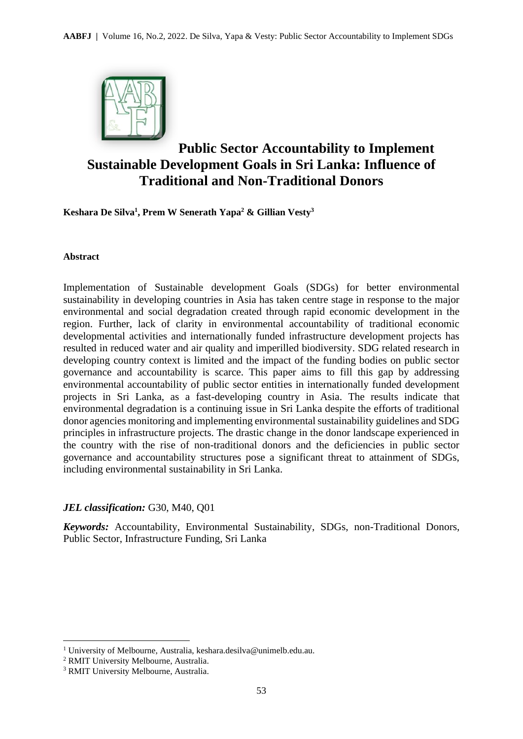

# **Public Sector Accountability to Implement Sustainable Development Goals in Sri Lanka: Influence of Traditional and Non-Traditional Donors**

**Keshara De Silva<sup>1</sup> , Prem W Senerath Yapa<sup>2</sup> & Gillian Vesty<sup>3</sup>**

#### **Abstract**

Implementation of Sustainable development Goals (SDGs) for better environmental sustainability in developing countries in Asia has taken centre stage in response to the major environmental and social degradation created through rapid economic development in the region. Further, lack of clarity in environmental accountability of traditional economic developmental activities and internationally funded infrastructure development projects has resulted in reduced water and air quality and imperilled biodiversity. SDG related research in developing country context is limited and the impact of the funding bodies on public sector governance and accountability is scarce. This paper aims to fill this gap by addressing environmental accountability of public sector entities in internationally funded development projects in Sri Lanka, as a fast-developing country in Asia. The results indicate that environmental degradation is a continuing issue in Sri Lanka despite the efforts of traditional donor agencies monitoring and implementing environmental sustainability guidelines and SDG principles in infrastructure projects. The drastic change in the donor landscape experienced in the country with the rise of non-traditional donors and the deficiencies in public sector governance and accountability structures pose a significant threat to attainment of SDGs, including environmental sustainability in Sri Lanka.

#### *JEL classification:* G30, M40, Q01

*Keywords:* Accountability, Environmental Sustainability, SDGs, non-Traditional Donors, Public Sector, Infrastructure Funding, Sri Lanka

<sup>1</sup> University of Melbourne, Australia, keshara.desilva@unimelb.edu.au.

<sup>2</sup> RMIT University Melbourne, Australia.

<sup>3</sup> RMIT University Melbourne, Australia.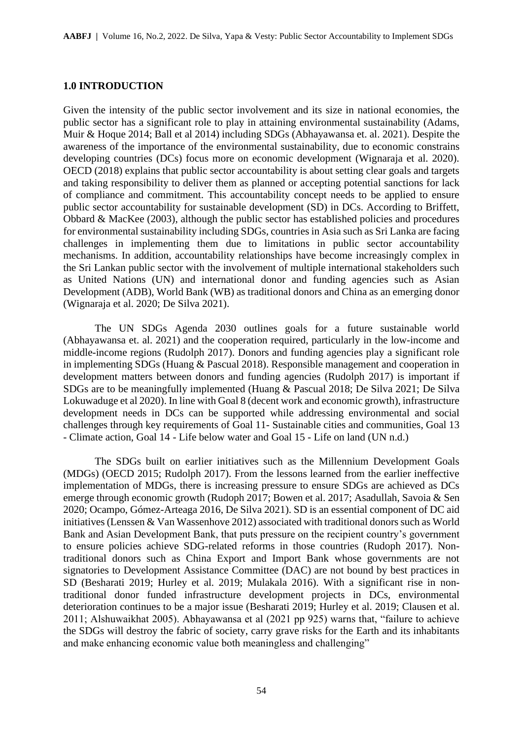#### **1.0 INTRODUCTION**

Given the intensity of the public sector involvement and its size in national economies, the public sector has a significant role to play in attaining environmental sustainability (Adams, Muir & Hoque 2014; Ball et al 2014) including SDGs (Abhayawansa et. al. 2021). Despite the awareness of the importance of the environmental sustainability, due to economic constrains developing countries (DCs) focus more on economic development (Wignaraja et al. 2020). OECD (2018) explains that public sector accountability is about setting clear goals and targets and taking responsibility to deliver them as planned or accepting potential sanctions for lack of compliance and commitment. This accountability concept needs to be applied to ensure public sector accountability for sustainable development (SD) in DCs. According to Briffett, Obbard & MacKee (2003), although the public sector has established policies and procedures for environmental sustainability including SDGs, countries in Asia such as Sri Lanka are facing challenges in implementing them due to limitations in public sector accountability mechanisms. In addition, accountability relationships have become increasingly complex in the Sri Lankan public sector with the involvement of multiple international stakeholders such as United Nations (UN) and international donor and funding agencies such as Asian Development (ADB), World Bank (WB) as traditional donors and China as an emerging donor (Wignaraja et al. 2020; De Silva 2021).

The UN SDGs Agenda 2030 outlines goals for a future sustainable world (Abhayawansa et. al. 2021) and the cooperation required, particularly in the low-income and middle-income regions (Rudolph 2017). Donors and funding agencies play a significant role in implementing SDGs (Huang & Pascual 2018). Responsible management and cooperation in development matters between donors and funding agencies (Rudolph 2017) is important if SDGs are to be meaningfully implemented (Huang & Pascual 2018; De Silva 2021; De Silva Lokuwaduge et al 2020). In line with Goal 8 (decent work and economic growth), infrastructure development needs in DCs can be supported while addressing environmental and social challenges through key requirements of Goal 11- Sustainable cities and communities, Goal 13 - Climate action, Goal 14 - Life below water and Goal 15 - Life on land (UN n.d.)

The SDGs built on earlier initiatives such as the Millennium Development Goals (MDGs) (OECD 2015; Rudolph 2017). From the lessons learned from the earlier ineffective implementation of MDGs, there is increasing pressure to ensure SDGs are achieved as DCs emerge through economic growth (Rudoph 2017; Bowen et al. 2017; Asadullah, Savoia & Sen 2020; Ocampo, Gómez-Arteaga 2016, De Silva 2021). SD is an essential component of DC aid initiatives (Lenssen & Van Wassenhove 2012) associated with traditional donors such as World Bank and Asian Development Bank, that puts pressure on the recipient country's government to ensure policies achieve SDG-related reforms in those countries (Rudoph 2017). Nontraditional donors such as China Export and Import Bank whose governments are not signatories to Development Assistance Committee (DAC) are not bound by best practices in SD (Besharati 2019; Hurley et al. 2019; Mulakala 2016). With a significant rise in nontraditional donor funded infrastructure development projects in DCs, environmental deterioration continues to be a major issue (Besharati 2019; Hurley et al. 2019; Clausen et al. 2011; Alshuwaikhat 2005). Abhayawansa et al (2021 pp 925) warns that, "failure to achieve the SDGs will destroy the fabric of society, carry grave risks for the Earth and its inhabitants and make enhancing economic value both meaningless and challenging"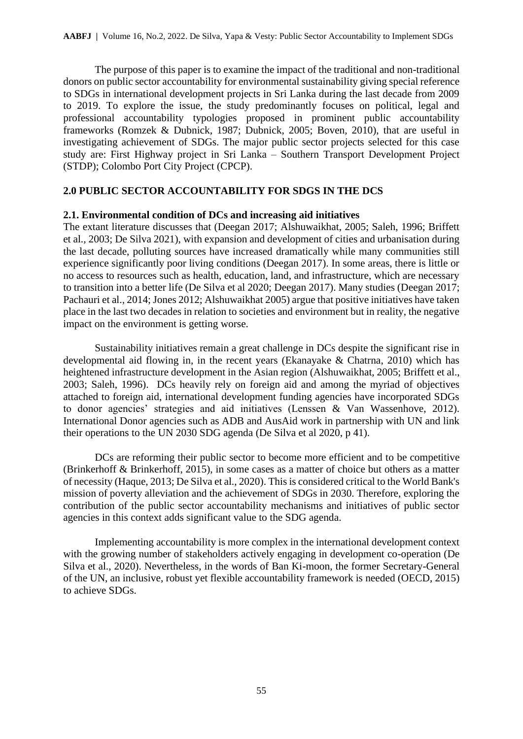The purpose of this paper is to examine the impact of the traditional and non-traditional donors on public sector accountability for environmental sustainability giving special reference to SDGs in international development projects in Sri Lanka during the last decade from 2009 to 2019. To explore the issue, the study predominantly focuses on political, legal and professional accountability typologies proposed in prominent public accountability frameworks (Romzek & Dubnick, 1987; Dubnick, 2005; Boven, 2010), that are useful in investigating achievement of SDGs. The major public sector projects selected for this case study are: First Highway project in Sri Lanka – Southern Transport Development Project (STDP); Colombo Port City Project (CPCP).

# **2.0 PUBLIC SECTOR ACCOUNTABILITY FOR SDGS IN THE DCS**

## **2.1. Environmental condition of DCs and increasing aid initiatives**

The extant literature discusses that (Deegan 2017; Alshuwaikhat, 2005; Saleh, 1996; Briffett et al., 2003; De Silva 2021), with expansion and development of cities and urbanisation during the last decade, polluting sources have increased dramatically while many communities still experience significantly poor living conditions (Deegan 2017). In some areas, there is little or no access to resources such as health, education, land, and infrastructure, which are necessary to transition into a better life (De Silva et al 2020; Deegan 2017). Many studies (Deegan 2017; Pachauri et al., 2014; Jones 2012; Alshuwaikhat 2005) argue that positive initiatives have taken place in the last two decades in relation to societies and environment but in reality, the negative impact on the environment is getting worse.

Sustainability initiatives remain a great challenge in DCs despite the significant rise in developmental aid flowing in, in the recent years (Ekanayake & Chatrna, 2010) which has heightened infrastructure development in the Asian region (Alshuwaikhat, 2005; Briffett et al., 2003; Saleh, 1996). DCs heavily rely on foreign aid and among the myriad of objectives attached to foreign aid, international development funding agencies have incorporated SDGs to donor agencies' strategies and aid initiatives (Lenssen & Van Wassenhove, 2012). International Donor agencies such as ADB and AusAid work in partnership with UN and link their operations to the UN 2030 SDG agenda (De Silva et al 2020, p 41).

DCs are reforming their public sector to become more efficient and to be competitive (Brinkerhoff & Brinkerhoff, 2015), in some cases as a matter of choice but others as a matter of necessity (Haque, 2013; De Silva et al., 2020). This is considered critical to the World Bank's mission of poverty alleviation and the achievement of SDGs in 2030. Therefore, exploring the contribution of the public sector accountability mechanisms and initiatives of public sector agencies in this context adds significant value to the SDG agenda.

Implementing accountability is more complex in the international development context with the growing number of stakeholders actively engaging in development co-operation (De Silva et al., 2020). Nevertheless, in the words of Ban Ki-moon, the former Secretary-General of the UN, an inclusive, robust yet flexible accountability framework is needed (OECD, 2015) to achieve SDGs.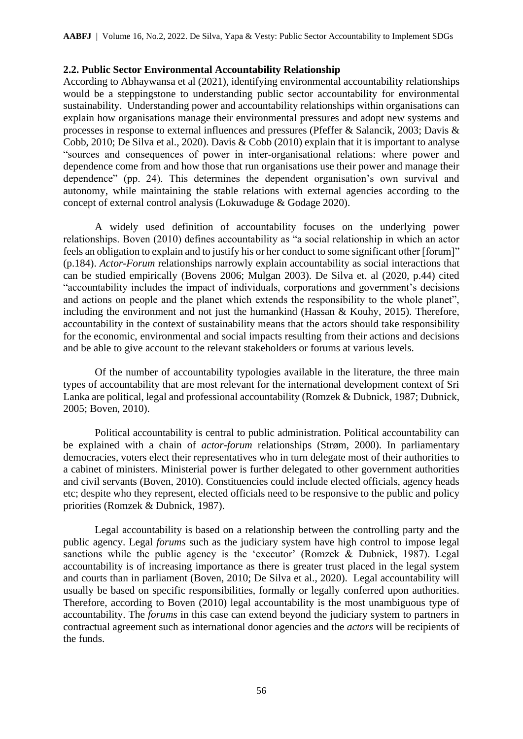#### **2.2. Public Sector Environmental Accountability Relationship**

According to Abhaywansa et al (2021), identifying environmental accountability relationships would be a steppingstone to understanding public sector accountability for environmental sustainability. Understanding power and accountability relationships within organisations can explain how organisations manage their environmental pressures and adopt new systems and processes in response to external influences and pressures (Pfeffer & Salancik, 2003; Davis & Cobb, 2010; De Silva et al., 2020). Davis & Cobb (2010) explain that it is important to analyse "sources and consequences of power in inter-organisational relations: where power and dependence come from and how those that run organisations use their power and manage their dependence" (pp. 24). This determines the dependent organisation's own survival and autonomy, while maintaining the stable relations with external agencies according to the concept of external control analysis (Lokuwaduge & Godage 2020).

A widely used definition of accountability focuses on the underlying power relationships. Boven (2010) defines accountability as "a social relationship in which an actor feels an obligation to explain and to justify his or her conduct to some significant other [forum]" (p.184). *Actor-Forum* relationships narrowly explain accountability as social interactions that can be studied empirically (Bovens 2006; Mulgan 2003). De Silva et. al (2020, p.44) cited "accountability includes the impact of individuals, corporations and government's decisions and actions on people and the planet which extends the responsibility to the whole planet", including the environment and not just the humankind (Hassan & Kouhy, 2015). Therefore, accountability in the context of sustainability means that the actors should take responsibility for the economic, environmental and social impacts resulting from their actions and decisions and be able to give account to the relevant stakeholders or forums at various levels.

Of the number of accountability typologies available in the literature, the three main types of accountability that are most relevant for the international development context of Sri Lanka are political, legal and professional accountability (Romzek & Dubnick, 1987; Dubnick, 2005; Boven, 2010).

Political accountability is central to public administration. Political accountability can be explained with a chain of *actor-forum* relationships (Strøm, 2000). In parliamentary democracies, voters elect their representatives who in turn delegate most of their authorities to a cabinet of ministers. Ministerial power is further delegated to other government authorities and civil servants (Boven, 2010). Constituencies could include elected officials, agency heads etc; despite who they represent, elected officials need to be responsive to the public and policy priorities (Romzek & Dubnick, 1987).

Legal accountability is based on a relationship between the controlling party and the public agency. Legal *forums* such as the judiciary system have high control to impose legal sanctions while the public agency is the 'executor' (Romzek & Dubnick, 1987). Legal accountability is of increasing importance as there is greater trust placed in the legal system and courts than in parliament (Boven, 2010; De Silva et al., 2020). Legal accountability will usually be based on specific responsibilities, formally or legally conferred upon authorities. Therefore, according to Boven (2010) legal accountability is the most unambiguous type of accountability. The *forums* in this case can extend beyond the judiciary system to partners in contractual agreement such as international donor agencies and the *actors* will be recipients of the funds.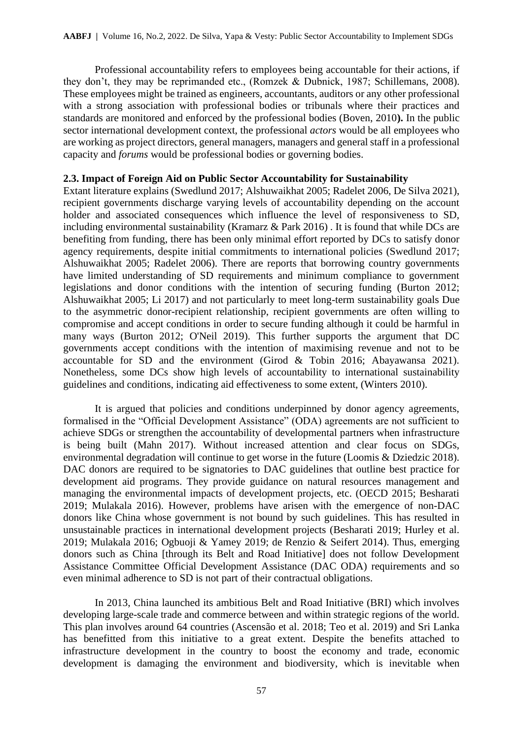Professional accountability refers to employees being accountable for their actions, if they don't, they may be reprimanded etc., (Romzek & Dubnick, 1987; Schillemans, 2008). These employees might be trained as engineers, accountants, auditors or any other professional with a strong association with professional bodies or tribunals where their practices and standards are monitored and enforced by the professional bodies (Boven, 2010**).** In the public sector international development context, the professional *actors* would be all employees who are working as project directors, general managers, managers and general staff in a professional capacity and *forums* would be professional bodies or governing bodies.

#### **2.3. Impact of Foreign Aid on Public Sector Accountability for Sustainability**

Extant literature explains (Swedlund 2017; Alshuwaikhat 2005; Radelet 2006, De Silva 2021), recipient governments discharge varying levels of accountability depending on the account holder and associated consequences which influence the level of responsiveness to SD, including environmental sustainability (Kramarz & Park 2016) . It is found that while DCs are benefiting from funding, there has been only minimal effort reported by DCs to satisfy donor agency requirements, despite initial commitments to international policies (Swedlund 2017; Alshuwaikhat 2005; Radelet 2006). There are reports that borrowing country governments have limited understanding of SD requirements and minimum compliance to government legislations and donor conditions with the intention of securing funding (Burton 2012; Alshuwaikhat 2005; Li 2017) and not particularly to meet long-term sustainability goals Due to the asymmetric donor-recipient relationship, recipient governments are often willing to compromise and accept conditions in order to secure funding although it could be harmful in many ways (Burton 2012; O'Neil 2019). This further supports the argument that DC governments accept conditions with the intention of maximising revenue and not to be accountable for SD and the environment (Girod & Tobin 2016; Abayawansa 2021). Nonetheless, some DCs show high levels of accountability to international sustainability guidelines and conditions, indicating aid effectiveness to some extent, (Winters 2010).

It is argued that policies and conditions underpinned by donor agency agreements, formalised in the "Official Development Assistance" (ODA) agreements are not sufficient to achieve SDGs or strengthen the accountability of developmental partners when infrastructure is being built (Mahn 2017). Without increased attention and clear focus on SDGs, environmental degradation will continue to get worse in the future (Loomis & Dziedzic 2018). DAC donors are required to be signatories to DAC guidelines that outline best practice for development aid programs. They provide guidance on natural resources management and managing the environmental impacts of development projects, etc. (OECD 2015; Besharati 2019; Mulakala 2016). However, problems have arisen with the emergence of non-DAC donors like China whose government is not bound by such guidelines. This has resulted in unsustainable practices in international development projects (Besharati 2019; Hurley et al. 2019; Mulakala 2016; Ogbuoji & Yamey 2019; de Renzio & Seifert 2014). Thus, emerging donors such as China [through its Belt and Road Initiative] does not follow Development Assistance Committee Official Development Assistance (DAC ODA) requirements and so even minimal adherence to SD is not part of their contractual obligations.

In 2013, China launched its ambitious Belt and Road Initiative (BRI) which involves developing large-scale trade and commerce between and within strategic regions of the world. This plan involves around 64 countries (Ascensão et al. 2018; Teo et al. 2019) and Sri Lanka has benefitted from this initiative to a great extent. Despite the benefits attached to infrastructure development in the country to boost the economy and trade, economic development is damaging the environment and biodiversity, which is inevitable when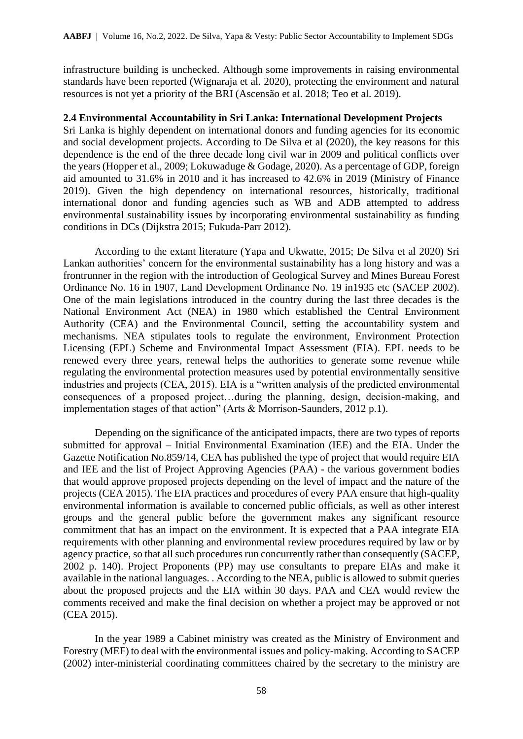infrastructure building is unchecked. Although some improvements in raising environmental standards have been reported (Wignaraja et al. 2020), protecting the environment and natural resources is not yet a priority of the BRI (Ascensão et al. 2018; Teo et al. 2019).

#### **2.4 Environmental Accountability in Sri Lanka: International Development Projects**

Sri Lanka is highly dependent on international donors and funding agencies for its economic and social development projects. According to De Silva et al (2020), the key reasons for this dependence is the end of the three decade long civil war in 2009 and political conflicts over the years (Hopper et al., 2009; Lokuwaduge & Godage, 2020). As a percentage of GDP, foreign aid amounted to 31.6% in 2010 and it has increased to 42.6% in 2019 (Ministry of Finance 2019). Given the high dependency on international resources, historically, traditional international donor and funding agencies such as WB and ADB attempted to address environmental sustainability issues by incorporating environmental sustainability as funding conditions in DCs (Dijkstra 2015; Fukuda-Parr 2012).

According to the extant literature (Yapa and Ukwatte, 2015; De Silva et al 2020) Sri Lankan authorities' concern for the environmental sustainability has a long history and was a frontrunner in the region with the introduction of Geological Survey and Mines Bureau Forest Ordinance No. 16 in 1907, Land Development Ordinance No. 19 in1935 etc (SACEP 2002). One of the main legislations introduced in the country during the last three decades is the National Environment Act (NEA) in 1980 which established the Central Environment Authority (CEA) and the Environmental Council, setting the accountability system and mechanisms. NEA stipulates tools to regulate the environment, Environment Protection Licensing (EPL) Scheme and Environmental Impact Assessment (EIA). EPL needs to be renewed every three years, renewal helps the authorities to generate some revenue while regulating the environmental protection measures used by potential environmentally sensitive industries and projects (CEA, 2015). EIA is a "written analysis of the predicted environmental consequences of a proposed project…during the planning, design, decision-making, and implementation stages of that action" (Arts & Morrison-Saunders, 2012 p.1).

Depending on the significance of the anticipated impacts, there are two types of reports submitted for approval – Initial Environmental Examination (IEE) and the EIA. Under the Gazette Notification No.859/14, CEA has published the type of project that would require EIA and IEE and the list of Project Approving Agencies (PAA) - the various government bodies that would approve proposed projects depending on the level of impact and the nature of the projects (CEA 2015). The EIA practices and procedures of every PAA ensure that high-quality environmental information is available to concerned public officials, as well as other interest groups and the general public before the government makes any significant resource commitment that has an impact on the environment. It is expected that a PAA integrate EIA requirements with other planning and environmental review procedures required by law or by agency practice, so that all such procedures run concurrently rather than consequently (SACEP, 2002 p. 140). Project Proponents (PP) may use consultants to prepare EIAs and make it available in the national languages. . According to the NEA, public is allowed to submit queries about the proposed projects and the EIA within 30 days. PAA and CEA would review the comments received and make the final decision on whether a project may be approved or not (CEA 2015).

In the year 1989 a Cabinet ministry was created as the Ministry of Environment and Forestry (MEF) to deal with the environmental issues and policy-making. According to SACEP (2002) inter-ministerial coordinating committees chaired by the secretary to the ministry are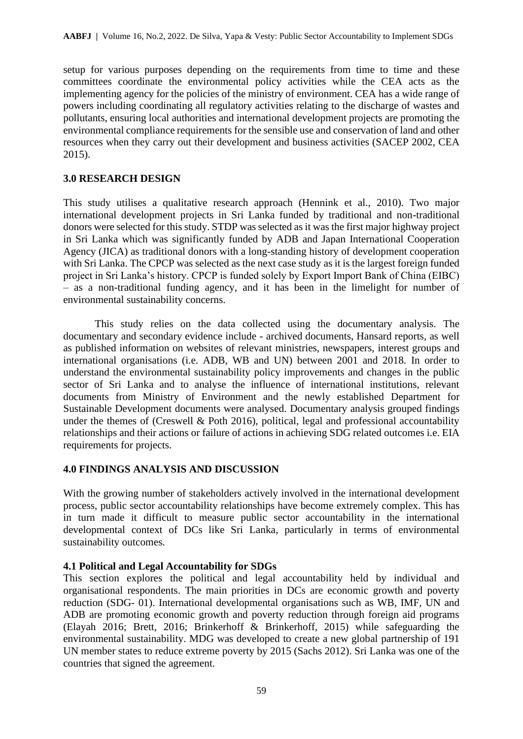setup for various purposes depending on the requirements from time to time and these committees coordinate the environmental policy activities while the CEA acts as the implementing agency for the policies of the ministry of environment. CEA has a wide range of powers including coordinating all regulatory activities relating to the discharge of wastes and pollutants, ensuring local authorities and international development projects are promoting the environmental compliance requirements for the sensible use and conservation of land and other resources when they carry out their development and business activities (SACEP 2002, CEA 2015).

## **3.0 RESEARCH DESIGN**

This study utilises a qualitative research approach (Hennink et al., 2010). Two major international development projects in Sri Lanka funded by traditional and non-traditional donors were selected for this study. STDP was selected as it was the first major highway project in Sri Lanka which was significantly funded by ADB and Japan International Cooperation Agency (JICA) as traditional donors with a long-standing history of development cooperation with Sri Lanka. The CPCP was selected as the next case study as it is the largest foreign funded project in Sri Lanka's history. CPCP is funded solely by Export Import Bank of China (EIBC) – as a non-traditional funding agency, and it has been in the limelight for number of environmental sustainability concerns.

This study relies on the data collected using the documentary analysis. The documentary and secondary evidence include - archived documents, Hansard reports, as well as published information on websites of relevant ministries, newspapers, interest groups and international organisations (i.e. ADB, WB and UN) between 2001 and 2018. In order to understand the environmental sustainability policy improvements and changes in the public sector of Sri Lanka and to analyse the influence of international institutions, relevant documents from Ministry of Environment and the newly established Department for Sustainable Development documents were analysed. Documentary analysis grouped findings under the themes of (Creswell & Poth 2016), political, legal and professional accountability relationships and their actions or failure of actions in achieving SDG related outcomes i.e. EIA requirements for projects.

#### **4.0 FINDINGS ANALYSIS AND DISCUSSION**

With the growing number of stakeholders actively involved in the international development process, public sector accountability relationships have become extremely complex. This has in turn made it difficult to measure public sector accountability in the international developmental context of DCs like Sri Lanka, particularly in terms of environmental sustainability outcomes.

# **4.1 Political and Legal Accountability for SDGs**

This section explores the political and legal accountability held by individual and organisational respondents. The main priorities in DCs are economic growth and poverty reduction (SDG- 01). International developmental organisations such as WB, IMF, UN and ADB are promoting economic growth and poverty reduction through foreign aid programs (Elayah 2016; Brett, 2016; Brinkerhoff & Brinkerhoff, 2015) while safeguarding the environmental sustainability. MDG was developed to create a new global partnership of 191 UN member states to reduce extreme poverty by 2015 (Sachs 2012). Sri Lanka was one of the countries that signed the agreement.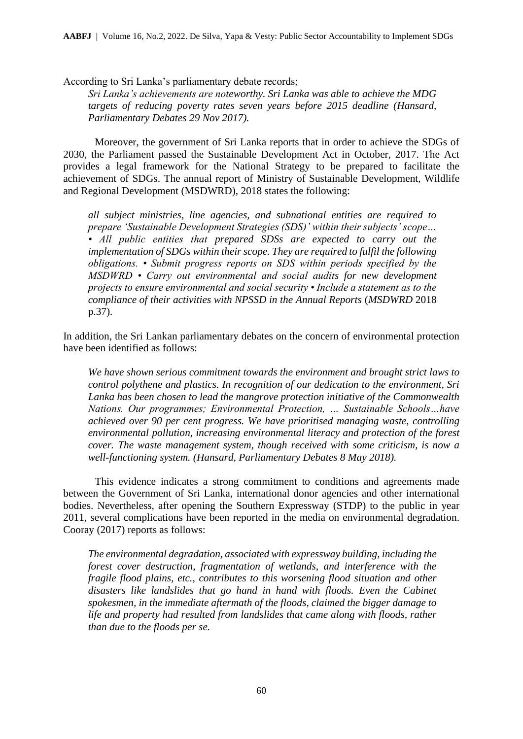According to Sri Lanka's parliamentary debate records;

*Sri Lanka's achievements are noteworthy. Sri Lanka was able to achieve the MDG targets of reducing poverty rates seven years before 2015 deadline (Hansard, Parliamentary Debates 29 Nov 2017).* 

Moreover, the government of Sri Lanka reports that in order to achieve the SDGs of 2030, the Parliament passed the Sustainable Development Act in October, 2017. The Act provides a legal framework for the National Strategy to be prepared to facilitate the achievement of SDGs. The annual report of Ministry of Sustainable Development, Wildlife and Regional Development (MSDWRD), 2018 states the following:

*all subject ministries, line agencies, and subnational entities are required to prepare 'Sustainable Development Strategies (SDS)' within their subjects' scope… • All public entities that prepared SDSs are expected to carry out the implementation of SDGs within their scope. They are required to fulfil the following obligations. • Submit progress reports on SDS within periods specified by the MSDWRD • Carry out environmental and social audits for new development projects to ensure environmental and social security • Include a statement as to the compliance of their activities with NPSSD in the Annual Reports* (*MSDWRD* 2018 p.37).

In addition, the Sri Lankan parliamentary debates on the concern of environmental protection have been identified as follows:

*We have shown serious commitment towards the environment and brought strict laws to control polythene and plastics. In recognition of our dedication to the environment, Sri Lanka has been chosen to lead the mangrove protection initiative of the Commonwealth Nations. Our programmes; Environmental Protection, … Sustainable Schools…have achieved over 90 per cent progress. We have prioritised managing waste, controlling environmental pollution, increasing environmental literacy and protection of the forest cover. The waste management system, though received with some criticism, is now a well-functioning system. (Hansard, Parliamentary Debates 8 May 2018).* 

This evidence indicates a strong commitment to conditions and agreements made between the Government of Sri Lanka, international donor agencies and other international bodies. Nevertheless, after opening the Southern Expressway (STDP) to the public in year 2011, several complications have been reported in the media on environmental degradation. Cooray (2017) reports as follows:

*The environmental degradation, associated with expressway building, including the forest cover destruction, fragmentation of wetlands, and interference with the fragile flood plains, etc., contributes to this worsening flood situation and other*  disasters like landslides that go hand in hand with floods. Even the Cabinet *spokesmen, in the immediate aftermath of the floods, claimed the bigger damage to life and property had resulted from landslides that came along with floods, rather than due to the floods per se.*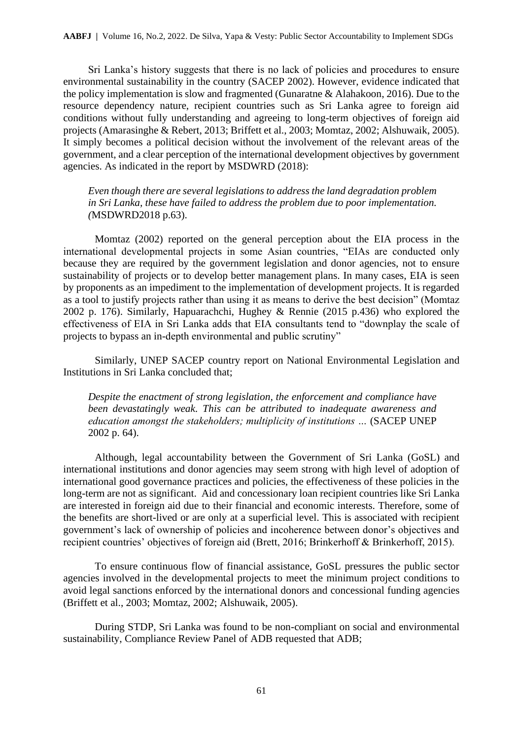Sri Lanka's history suggests that there is no lack of policies and procedures to ensure environmental sustainability in the country (SACEP 2002). However, evidence indicated that the policy implementation is slow and fragmented (Gunaratne & Alahakoon, 2016). Due to the resource dependency nature, recipient countries such as Sri Lanka agree to foreign aid conditions without fully understanding and agreeing to long-term objectives of foreign aid projects (Amarasinghe & Rebert, 2013; Briffett et al., 2003; Momtaz, 2002; Alshuwaik, 2005). It simply becomes a political decision without the involvement of the relevant areas of the government, and a clear perception of the international development objectives by government agencies. As indicated in the report by MSDWRD (2018):

*Even though there are several legislations to address the land degradation problem in Sri Lanka, these have failed to address the problem due to poor implementation. (*MSDWRD2018 p.63).

Momtaz (2002) reported on the general perception about the EIA process in the international developmental projects in some Asian countries, "EIAs are conducted only because they are required by the government legislation and donor agencies, not to ensure sustainability of projects or to develop better management plans. In many cases, EIA is seen by proponents as an impediment to the implementation of development projects. It is regarded as a tool to justify projects rather than using it as means to derive the best decision" (Momtaz 2002 p. 176). Similarly, Hapuarachchi, Hughey & Rennie (2015 p.436) who explored the effectiveness of EIA in Sri Lanka adds that EIA consultants tend to "downplay the scale of projects to bypass an in-depth environmental and public scrutiny"

Similarly, UNEP SACEP country report on National Environmental Legislation and Institutions in Sri Lanka concluded that;

*Despite the enactment of strong legislation, the enforcement and compliance have been devastatingly weak. This can be attributed to inadequate awareness and education amongst the stakeholders; multiplicity of institutions …* (SACEP UNEP 2002 p. 64).

Although, legal accountability between the Government of Sri Lanka (GoSL) and international institutions and donor agencies may seem strong with high level of adoption of international good governance practices and policies, the effectiveness of these policies in the long-term are not as significant. Aid and concessionary loan recipient countries like Sri Lanka are interested in foreign aid due to their financial and economic interests. Therefore, some of the benefits are short-lived or are only at a superficial level. This is associated with recipient government's lack of ownership of policies and incoherence between donor's objectives and recipient countries' objectives of foreign aid (Brett, 2016; Brinkerhoff & Brinkerhoff, 2015).

To ensure continuous flow of financial assistance, GoSL pressures the public sector agencies involved in the developmental projects to meet the minimum project conditions to avoid legal sanctions enforced by the international donors and concessional funding agencies (Briffett et al., 2003; Momtaz, 2002; Alshuwaik, 2005).

During STDP, Sri Lanka was found to be non-compliant on social and environmental sustainability, Compliance Review Panel of ADB requested that ADB;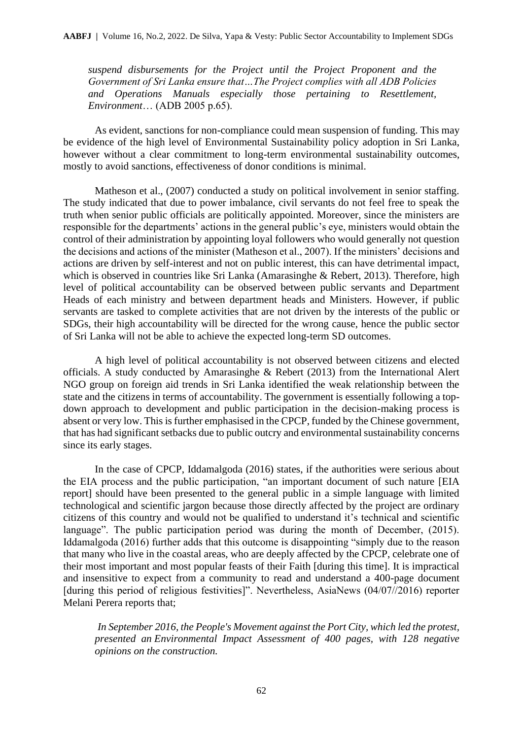*suspend disbursements for the Project until the Project Proponent and the Government of Sri Lanka ensure that…The Project complies with all ADB Policies and Operations Manuals especially those pertaining to Resettlement, Environment*… (ADB 2005 p.65).

As evident, sanctions for non-compliance could mean suspension of funding. This may be evidence of the high level of Environmental Sustainability policy adoption in Sri Lanka, however without a clear commitment to long-term environmental sustainability outcomes, mostly to avoid sanctions, effectiveness of donor conditions is minimal.

Matheson et al., (2007) conducted a study on political involvement in senior staffing. The study indicated that due to power imbalance, civil servants do not feel free to speak the truth when senior public officials are politically appointed. Moreover, since the ministers are responsible for the departments' actions in the general public's eye, ministers would obtain the control of their administration by appointing loyal followers who would generally not question the decisions and actions of the minister (Matheson et al., 2007). If the ministers' decisions and actions are driven by self-interest and not on public interest, this can have detrimental impact, which is observed in countries like Sri Lanka (Amarasinghe & Rebert, 2013). Therefore, high level of political accountability can be observed between public servants and Department Heads of each ministry and between department heads and Ministers. However, if public servants are tasked to complete activities that are not driven by the interests of the public or SDGs, their high accountability will be directed for the wrong cause, hence the public sector of Sri Lanka will not be able to achieve the expected long-term SD outcomes.

A high level of political accountability is not observed between citizens and elected officials. A study conducted by Amarasinghe & Rebert (2013) from the International Alert NGO group on foreign aid trends in Sri Lanka identified the weak relationship between the state and the citizens in terms of accountability. The government is essentially following a topdown approach to development and public participation in the decision-making process is absent or very low. This is further emphasised in the CPCP, funded by the Chinese government, that has had significant setbacks due to public outcry and environmental sustainability concerns since its early stages.

In the case of CPCP, Iddamalgoda (2016) states, if the authorities were serious about the EIA process and the public participation, "an important document of such nature [EIA report] should have been presented to the general public in a simple language with limited technological and scientific jargon because those directly affected by the project are ordinary citizens of this country and would not be qualified to understand it's technical and scientific language". The public participation period was during the month of December, (2015). Iddamalgoda (2016) further adds that this outcome is disappointing "simply due to the reason that many who live in the coastal areas, who are deeply affected by the CPCP, celebrate one of their most important and most popular feasts of their Faith [during this time]. It is impractical and insensitive to expect from a community to read and understand a 400-page document [during this period of religious festivities]". Nevertheless, AsiaNews (04/07//2016) reporter Melani Perera reports that;

*In September 2016, the People's Movement against the Port City, which led the protest, presented an [Environmental Impact Assessment](http://www.asianews.it/news-en/Catholics,-fishermen-and-environmentalists-protest-reopening-of-Colombo-Port-City-(Photo)-36351.html) of 400 pages, with 128 negative opinions on the construction.*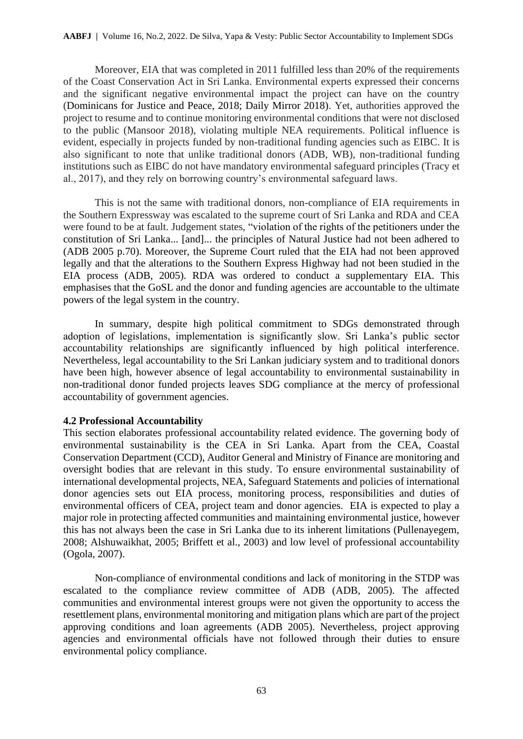Moreover, EIA that was completed in 2011 fulfilled less than 20% of the requirements of the Coast Conservation Act in Sri Lanka. Environmental experts expressed their concerns and the significant negative environmental impact the project can have on the country (Dominicans for Justice and Peace, 2018; Daily Mirror 2018). Yet, authorities approved the project to resume and to continue monitoring environmental conditions that were not disclosed to the public (Mansoor 2018), violating multiple NEA requirements. Political influence is evident, especially in projects funded by non-traditional funding agencies such as EIBC. It is also significant to note that unlike traditional donors (ADB, WB), non-traditional funding institutions such as EIBC do not have mandatory environmental safeguard principles (Tracy et al., 2017), and they rely on borrowing country's environmental safeguard laws.

This is not the same with traditional donors, non-compliance of EIA requirements in the Southern Expressway was escalated to the supreme court of Sri Lanka and RDA and CEA were found to be at fault. Judgement states, "violation of the rights of the petitioners under the constitution of Sri Lanka... [and]... the principles of Natural Justice had not been adhered to (ADB 2005 p.70). Moreover, the Supreme Court ruled that the EIA had not been approved legally and that the alterations to the Southern Express Highway had not been studied in the EIA process (ADB, 2005). RDA was ordered to conduct a supplementary EIA. This emphasises that the GoSL and the donor and funding agencies are accountable to the ultimate powers of the legal system in the country.

In summary, despite high political commitment to SDGs demonstrated through adoption of legislations, implementation is significantly slow. Sri Lanka's public sector accountability relationships are significantly influenced by high political interference. Nevertheless, legal accountability to the Sri Lankan judiciary system and to traditional donors have been high, however absence of legal accountability to environmental sustainability in non-traditional donor funded projects leaves SDG compliance at the mercy of professional accountability of government agencies.

#### **4.2 Professional Accountability**

This section elaborates professional accountability related evidence. The governing body of environmental sustainability is the CEA in Sri Lanka. Apart from the CEA, Coastal Conservation Department (CCD), Auditor General and Ministry of Finance are monitoring and oversight bodies that are relevant in this study. To ensure environmental sustainability of international developmental projects, NEA, Safeguard Statements and policies of international donor agencies sets out EIA process, monitoring process, responsibilities and duties of environmental officers of CEA, project team and donor agencies. EIA is expected to play a major role in protecting affected communities and maintaining environmental justice, however this has not always been the case in Sri Lanka due to its inherent limitations (Pullenayegem, 2008; Alshuwaikhat, 2005; Briffett et al., 2003) and low level of professional accountability (Ogola, 2007).

Non-compliance of environmental conditions and lack of monitoring in the STDP was escalated to the compliance review committee of ADB (ADB, 2005). The affected communities and environmental interest groups were not given the opportunity to access the resettlement plans, environmental monitoring and mitigation plans which are part of the project approving conditions and loan agreements (ADB 2005). Nevertheless, project approving agencies and environmental officials have not followed through their duties to ensure environmental policy compliance.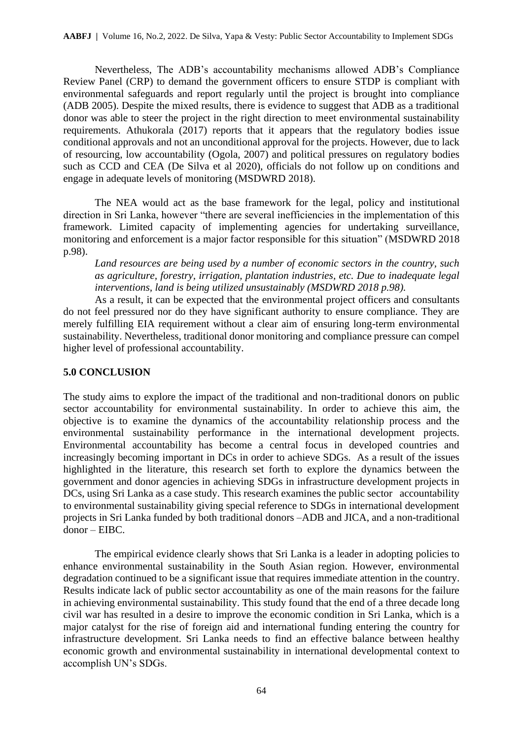Nevertheless, The ADB's accountability mechanisms allowed ADB's Compliance Review Panel (CRP) to demand the government officers to ensure STDP is compliant with environmental safeguards and report regularly until the project is brought into compliance (ADB 2005). Despite the mixed results, there is evidence to suggest that ADB as a traditional donor was able to steer the project in the right direction to meet environmental sustainability requirements. Athukorala (2017) reports that it appears that the regulatory bodies issue conditional approvals and not an unconditional approval for the projects. However, due to lack of resourcing, low accountability (Ogola, 2007) and political pressures on regulatory bodies such as CCD and CEA (De Silva et al 2020), officials do not follow up on conditions and engage in adequate levels of monitoring (MSDWRD 2018).

The NEA would act as the base framework for the legal, policy and institutional direction in Sri Lanka, however "there are several inefficiencies in the implementation of this framework. Limited capacity of implementing agencies for undertaking surveillance, monitoring and enforcement is a major factor responsible for this situation" (MSDWRD 2018 p.98).

*Land resources are being used by a number of economic sectors in the country, such as agriculture, forestry, irrigation, plantation industries, etc. Due to inadequate legal interventions, land is being utilized unsustainably (MSDWRD 2018 p.98).*

As a result, it can be expected that the environmental project officers and consultants do not feel pressured nor do they have significant authority to ensure compliance. They are merely fulfilling EIA requirement without a clear aim of ensuring long-term environmental sustainability. Nevertheless, traditional donor monitoring and compliance pressure can compel higher level of professional accountability.

## **5.0 CONCLUSION**

The study aims to explore the impact of the traditional and non-traditional donors on public sector accountability for environmental sustainability. In order to achieve this aim, the objective is to examine the dynamics of the accountability relationship process and the environmental sustainability performance in the international development projects. Environmental accountability has become a central focus in developed countries and increasingly becoming important in DCs in order to achieve SDGs. As a result of the issues highlighted in the literature, this research set forth to explore the dynamics between the government and donor agencies in achieving SDGs in infrastructure development projects in DCs, using Sri Lanka as a case study. This research examines the public sector accountability to environmental sustainability giving special reference to SDGs in international development projects in Sri Lanka funded by both traditional donors –ADB and JICA, and a non-traditional donor – EIBC.

The empirical evidence clearly shows that Sri Lanka is a leader in adopting policies to enhance environmental sustainability in the South Asian region. However, environmental degradation continued to be a significant issue that requires immediate attention in the country. Results indicate lack of public sector accountability as one of the main reasons for the failure in achieving environmental sustainability. This study found that the end of a three decade long civil war has resulted in a desire to improve the economic condition in Sri Lanka, which is a major catalyst for the rise of foreign aid and international funding entering the country for infrastructure development. Sri Lanka needs to find an effective balance between healthy economic growth and environmental sustainability in international developmental context to accomplish UN's SDGs.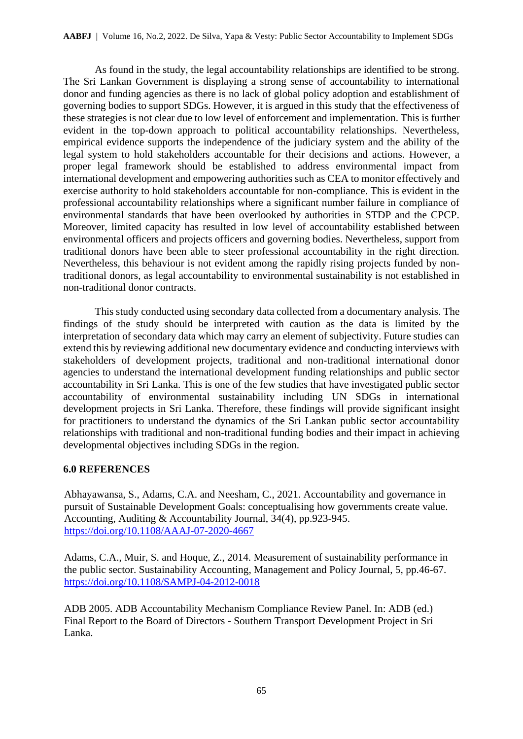As found in the study, the legal accountability relationships are identified to be strong. The Sri Lankan Government is displaying a strong sense of accountability to international donor and funding agencies as there is no lack of global policy adoption and establishment of governing bodies to support SDGs. However, it is argued in this study that the effectiveness of these strategies is not clear due to low level of enforcement and implementation. This is further evident in the top-down approach to political accountability relationships. Nevertheless, empirical evidence supports the independence of the judiciary system and the ability of the legal system to hold stakeholders accountable for their decisions and actions. However, a proper legal framework should be established to address environmental impact from international development and empowering authorities such as CEA to monitor effectively and exercise authority to hold stakeholders accountable for non-compliance. This is evident in the professional accountability relationships where a significant number failure in compliance of environmental standards that have been overlooked by authorities in STDP and the CPCP. Moreover, limited capacity has resulted in low level of accountability established between environmental officers and projects officers and governing bodies. Nevertheless, support from traditional donors have been able to steer professional accountability in the right direction. Nevertheless, this behaviour is not evident among the rapidly rising projects funded by nontraditional donors, as legal accountability to environmental sustainability is not established in non-traditional donor contracts.

This study conducted using secondary data collected from a documentary analysis. The findings of the study should be interpreted with caution as the data is limited by the interpretation of secondary data which may carry an element of subjectivity. Future studies can extend this by reviewing additional new documentary evidence and conducting interviews with stakeholders of development projects, traditional and non-traditional international donor agencies to understand the international development funding relationships and public sector accountability in Sri Lanka. This is one of the few studies that have investigated public sector accountability of environmental sustainability including UN SDGs in international development projects in Sri Lanka. Therefore, these findings will provide significant insight for practitioners to understand the dynamics of the Sri Lankan public sector accountability relationships with traditional and non-traditional funding bodies and their impact in achieving developmental objectives including SDGs in the region.

#### **6.0 REFERENCES**

Abhayawansa, S., Adams, C.A. and Neesham, C., 2021. Accountability and governance in pursuit of Sustainable Development Goals: conceptualising how governments create value. Accounting, Auditing & Accountability Journal, 34(4), pp.923-945. <https://doi.org/10.1108/AAAJ-07-2020-4667>

Adams, C.A., Muir, S. and Hoque, Z., 2014. Measurement of sustainability performance in the public sector. Sustainability Accounting, Management and Policy Journal, 5, pp.46-67. <https://doi.org/10.1108/SAMPJ-04-2012-0018>

ADB 2005. ADB Accountability Mechanism Compliance Review Panel. In: ADB (ed.) Final Report to the Board of Directors - Southern Transport Development Project in Sri Lanka.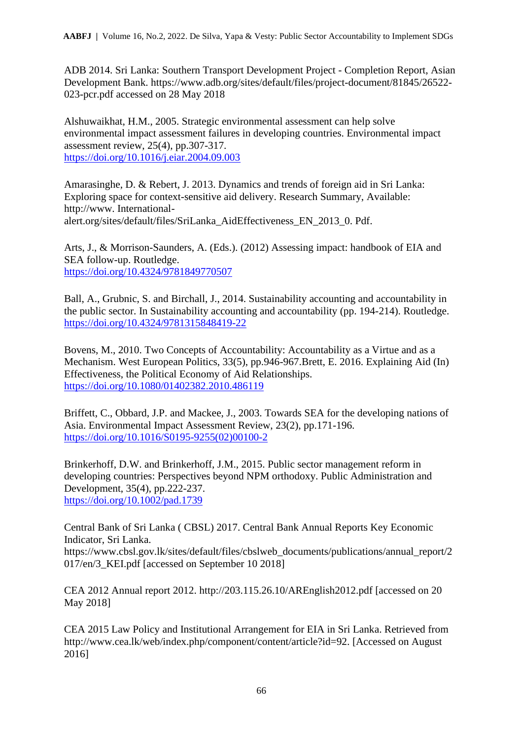ADB 2014. Sri Lanka: Southern Transport Development Project - Completion Report, Asian Development Bank. https://www.adb.org/sites/default/files/project-document/81845/26522- 023-pcr.pdf accessed on 28 May 2018

Alshuwaikhat, H.M., 2005. Strategic environmental assessment can help solve environmental impact assessment failures in developing countries. Environmental impact assessment review, 25(4), pp.307-317. <https://doi.org/10.1016/j.eiar.2004.09.003>

Amarasinghe, D. & Rebert, J. 2013. Dynamics and trends of foreign aid in Sri Lanka: Exploring space for context-sensitive aid delivery. Research Summary, Available: http://www. Internationalalert.org/sites/default/files/SriLanka\_AidEffectiveness\_EN\_2013\_0. Pdf.

Arts, J., & Morrison-Saunders, A. (Eds.). (2012) Assessing impact: handbook of EIA and SEA follow-up. Routledge. <https://doi.org/10.4324/9781849770507>

Ball, A., Grubnic, S. and Birchall, J., 2014. Sustainability accounting and accountability in the public sector. In Sustainability accounting and accountability (pp. 194-214). Routledge. <https://doi.org/10.4324/9781315848419-22>

Bovens, M., 2010. Two Concepts of Accountability: Accountability as a Virtue and as a Mechanism. West European Politics, 33(5), pp.946-967.Brett, E. 2016. Explaining Aid (In) Effectiveness, the Political Economy of Aid Relationships. <https://doi.org/10.1080/01402382.2010.486119>

Briffett, C., Obbard, J.P. and Mackee, J., 2003. Towards SEA for the developing nations of Asia. Environmental Impact Assessment Review, 23(2), pp.171-196. [https://doi.org/10.1016/S0195-9255\(02\)00100-2](https://doi.org/10.1016/S0195-9255(02)00100-2)

Brinkerhoff, D.W. and Brinkerhoff, J.M., 2015. Public sector management reform in developing countries: Perspectives beyond NPM orthodoxy. Public Administration and Development, 35(4), pp.222-237. <https://doi.org/10.1002/pad.1739>

Central Bank of Sri Lanka ( CBSL) 2017. Central Bank Annual Reports Key Economic Indicator, Sri Lanka.

https://www.cbsl.gov.lk/sites/default/files/cbslweb\_documents/publications/annual\_report/2 017/en/3 KEI.pdf [accessed on September 10 2018]

CEA 2012 Annual report 2012. http://203.115.26.10/AREnglish2012.pdf [accessed on 20 May 2018]

CEA 2015 Law Policy and Institutional Arrangement for EIA in Sri Lanka. Retrieved from http://www.cea.lk/web/index.php/component/content/article?id=92. [Accessed on August 2016]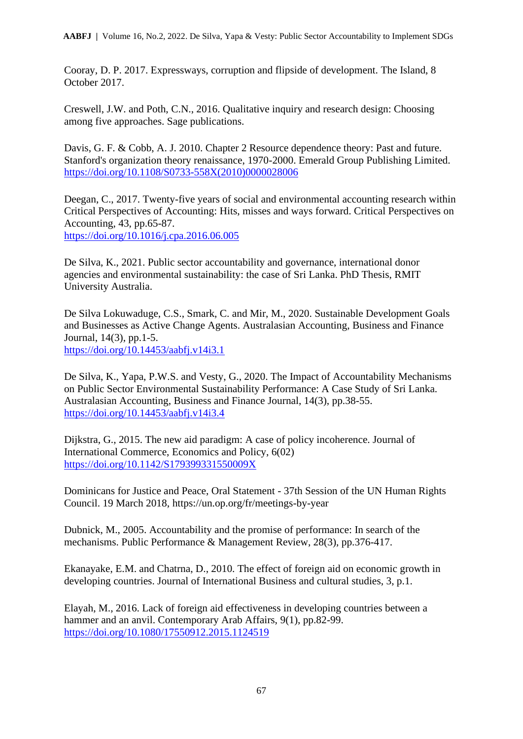Cooray, D. P. 2017. Expressways, corruption and flipside of development. The Island, 8 October 2017.

Creswell, J.W. and Poth, C.N., 2016. Qualitative inquiry and research design: Choosing among five approaches. Sage publications.

Davis, G. F. & Cobb, A. J. 2010. Chapter 2 Resource dependence theory: Past and future. Stanford's organization theory renaissance, 1970-2000. Emerald Group Publishing Limited. [https://doi.org/10.1108/S0733-558X\(2010\)0000028006](https://doi.org/10.1108/S0733-558X(2010)0000028006)

Deegan, C., 2017. Twenty-five years of social and environmental accounting research within Critical Perspectives of Accounting: Hits, misses and ways forward. Critical Perspectives on Accounting, 43, pp.65-87. <https://doi.org/10.1016/j.cpa.2016.06.005>

De Silva, K., 2021. Public sector accountability and governance, international donor agencies and environmental sustainability: the case of Sri Lanka. PhD Thesis, RMIT University Australia.

De Silva Lokuwaduge, C.S., Smark, C. and Mir, M., 2020. Sustainable Development Goals and Businesses as Active Change Agents. Australasian Accounting, Business and Finance Journal, 14(3), pp.1-5. <https://doi.org/10.14453/aabfj.v14i3.1>

De Silva, K., Yapa, P.W.S. and Vesty, G., 2020. The Impact of Accountability Mechanisms on Public Sector Environmental Sustainability Performance: A Case Study of Sri Lanka. Australasian Accounting, Business and Finance Journal, 14(3), pp.38-55. <https://doi.org/10.14453/aabfj.v14i3.4>

Dijkstra, G., 2015. The new aid paradigm: A case of policy incoherence. Journal of International Commerce, Economics and Policy, 6(02) <https://doi.org/10.1142/S179399331550009X>

Dominicans for Justice and Peace, Oral Statement - 37th Session of the UN Human Rights Council. 19 March 2018, https://un.op.org/fr/meetings-by-year

Dubnick, M., 2005. Accountability and the promise of performance: In search of the mechanisms. Public Performance & Management Review, 28(3), pp.376-417.

Ekanayake, E.M. and Chatrna, D., 2010. The effect of foreign aid on economic growth in developing countries. Journal of International Business and cultural studies, 3, p.1.

Elayah, M., 2016. Lack of foreign aid effectiveness in developing countries between a hammer and an anvil. Contemporary Arab Affairs, 9(1), pp.82-99. <https://doi.org/10.1080/17550912.2015.1124519>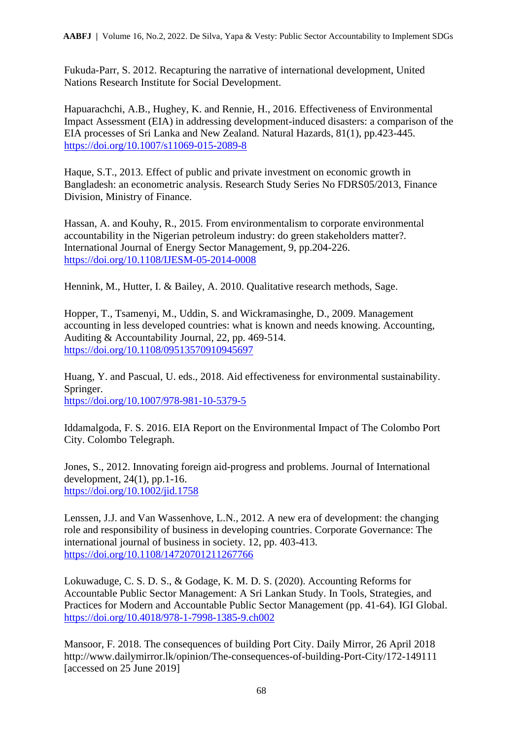Fukuda-Parr, S. 2012. Recapturing the narrative of international development, United Nations Research Institute for Social Development.

Hapuarachchi, A.B., Hughey, K. and Rennie, H., 2016. Effectiveness of Environmental Impact Assessment (EIA) in addressing development-induced disasters: a comparison of the EIA processes of Sri Lanka and New Zealand. Natural Hazards, 81(1), pp.423-445. <https://doi.org/10.1007/s11069-015-2089-8>

Haque, S.T., 2013. Effect of public and private investment on economic growth in Bangladesh: an econometric analysis. Research Study Series No FDRS05/2013, Finance Division, Ministry of Finance.

Hassan, A. and Kouhy, R., 2015. From environmentalism to corporate environmental accountability in the Nigerian petroleum industry: do green stakeholders matter?. International Journal of Energy Sector Management, 9, pp.204-226. <https://doi.org/10.1108/IJESM-05-2014-0008>

Hennink, M., Hutter, I. & Bailey, A. 2010. Qualitative research methods, Sage.

Hopper, T., Tsamenyi, M., Uddin, S. and Wickramasinghe, D., 2009. Management accounting in less developed countries: what is known and needs knowing. Accounting, Auditing & Accountability Journal, 22, pp. 469-514. <https://doi.org/10.1108/09513570910945697>

Huang, Y. and Pascual, U. eds., 2018. Aid effectiveness for environmental sustainability. Springer. <https://doi.org/10.1007/978-981-10-5379-5>

Iddamalgoda, F. S. 2016. EIA Report on the Environmental Impact of The Colombo Port City. Colombo Telegraph.

Jones, S., 2012. Innovating foreign aid-progress and problems. Journal of International development, 24(1), pp.1-16. <https://doi.org/10.1002/jid.1758>

Lenssen, J.J. and Van Wassenhove, L.N., 2012. A new era of development: the changing role and responsibility of business in developing countries. Corporate Governance: The international journal of business in society. 12, pp. 403-413. <https://doi.org/10.1108/14720701211267766>

Lokuwaduge, C. S. D. S., & Godage, K. M. D. S. (2020). Accounting Reforms for Accountable Public Sector Management: A Sri Lankan Study. In Tools, Strategies, and Practices for Modern and Accountable Public Sector Management (pp. 41-64). IGI Global. <https://doi.org/10.4018/978-1-7998-1385-9.ch002>

Mansoor, F. 2018. The consequences of building Port City. Daily Mirror, 26 April 2018 http://www.dailymirror.lk/opinion/The-consequences-of-building-Port-City/172-149111 [accessed on 25 June 2019]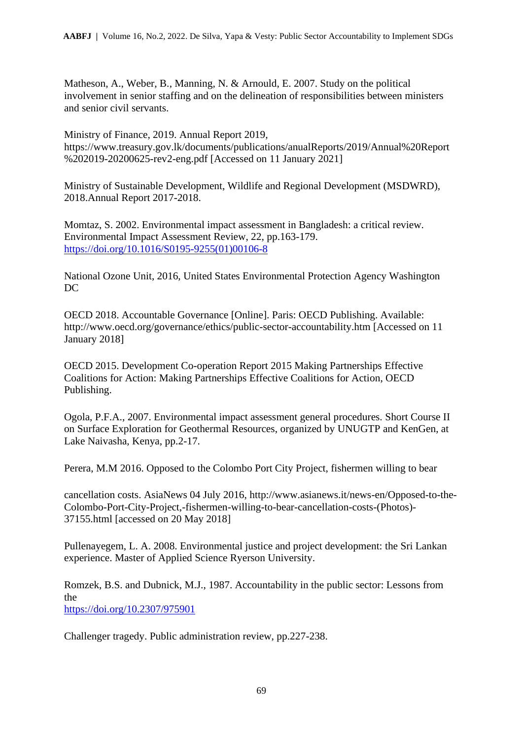Matheson, A., Weber, B., Manning, N. & Arnould, E. 2007. Study on the political involvement in senior staffing and on the delineation of responsibilities between ministers and senior civil servants.

Ministry of Finance, 2019. Annual Report 2019, https://www.treasury.gov.lk/documents/publications/anualReports/2019/Annual%20Report %202019-20200625-rev2-eng.pdf [Accessed on 11 January 2021]

Ministry of Sustainable Development, Wildlife and Regional Development (MSDWRD), 2018.Annual Report 2017-2018.

Momtaz, S. 2002. Environmental impact assessment in Bangladesh: a critical review. Environmental Impact Assessment Review, 22, pp.163-179. [https://doi.org/10.1016/S0195-9255\(01\)00106-8](https://doi.org/10.1016/S0195-9255(01)00106-8)

National Ozone Unit, 2016, United States Environmental Protection Agency Washington DC

OECD 2018. Accountable Governance [Online]. Paris: OECD Publishing. Available: http://www.oecd.org/governance/ethics/public-sector-accountability.htm [Accessed on 11 January 2018]

OECD 2015. Development Co-operation Report 2015 Making Partnerships Effective Coalitions for Action: Making Partnerships Effective Coalitions for Action, OECD Publishing.

Ogola, P.F.A., 2007. Environmental impact assessment general procedures. Short Course II on Surface Exploration for Geothermal Resources, organized by UNUGTP and KenGen, at Lake Naivasha, Kenya, pp.2-17.

Perera, M.M 2016. Opposed to the Colombo Port City Project, fishermen willing to bear

cancellation costs. AsiaNews 04 July 2016, http://www.asianews.it/news-en/Opposed-to-the-Colombo-Port-City-Project,-fishermen-willing-to-bear-cancellation-costs-(Photos)- 37155.html [accessed on 20 May 2018]

Pullenayegem, L. A. 2008. Environmental justice and project development: the Sri Lankan experience. Master of Applied Science Ryerson University.

Romzek, B.S. and Dubnick, M.J., 1987. Accountability in the public sector: Lessons from the <https://doi.org/10.2307/975901>

Challenger tragedy. Public administration review, pp.227-238.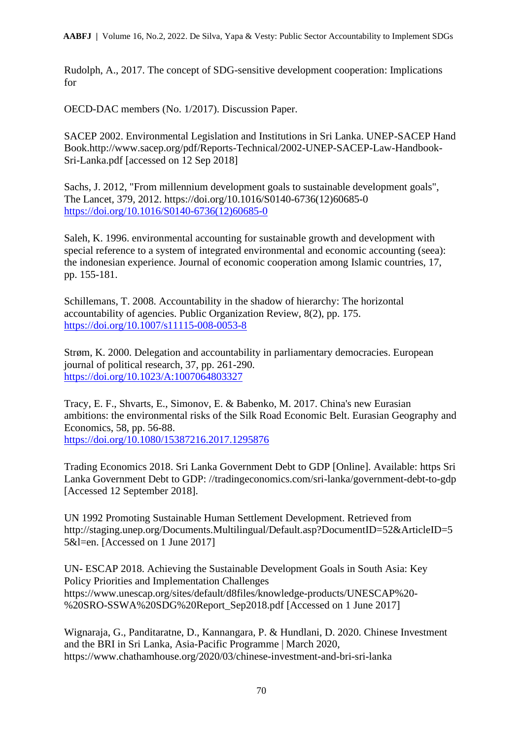Rudolph, A., 2017. The concept of SDG-sensitive development cooperation: Implications for

OECD-DAC members (No. 1/2017). Discussion Paper.

SACEP 2002. Environmental Legislation and Institutions in Sri Lanka. UNEP-SACEP Hand Book.http://www.sacep.org/pdf/Reports-Technical/2002-UNEP-SACEP-Law-Handbook-Sri-Lanka.pdf [accessed on 12 Sep 2018]

Sachs, J. 2012, "From millennium development goals to sustainable development goals", The Lancet, 379, 2012. https://doi.org/10.1016/S0140-6736(12)60685-0 [https://doi.org/10.1016/S0140-6736\(12\)60685-0](https://doi.org/10.1016/S0140-6736(12)60685-0)

Saleh, K. 1996. environmental accounting for sustainable growth and development with special reference to a system of integrated environmental and economic accounting (seea): the indonesian experience. Journal of economic cooperation among Islamic countries, 17, pp. 155-181.

Schillemans, T. 2008. Accountability in the shadow of hierarchy: The horizontal accountability of agencies. Public Organization Review, 8(2), pp. 175. <https://doi.org/10.1007/s11115-008-0053-8>

Strøm, K. 2000. Delegation and accountability in parliamentary democracies. European journal of political research, 37, pp. 261-290. <https://doi.org/10.1023/A:1007064803327>

Tracy, E. F., Shvarts, E., Simonov, E. & Babenko, M. 2017. China's new Eurasian ambitions: the environmental risks of the Silk Road Economic Belt. Eurasian Geography and Economics, 58, pp. 56-88.

<https://doi.org/10.1080/15387216.2017.1295876>

Trading Economics 2018. Sri Lanka Government Debt to GDP [Online]. Available: https Sri Lanka Government Debt to GDP: //tradingeconomics.com/sri-lanka/government-debt-to-gdp [Accessed 12 September 2018].

UN 1992 Promoting Sustainable Human Settlement Development. Retrieved from http://staging.unep.org/Documents.Multilingual/Default.asp?DocumentID=52&ArticleID=5 5&l=en. [Accessed on 1 June 2017]

UN- ESCAP 2018. Achieving the Sustainable Development Goals in South Asia: Key Policy Priorities and Implementation Challenges https://www.unescap.org/sites/default/d8files/knowledge-products/UNESCAP%20- %20SRO-SSWA%20SDG%20Report\_Sep2018.pdf [Accessed on 1 June 2017]

Wignaraja, G., Panditaratne, D., Kannangara, P. & Hundlani, D. 2020. Chinese Investment and the BRI in Sri Lanka, Asia-Pacific Programme | March 2020, https://www.chathamhouse.org/2020/03/chinese-investment-and-bri-sri-lanka